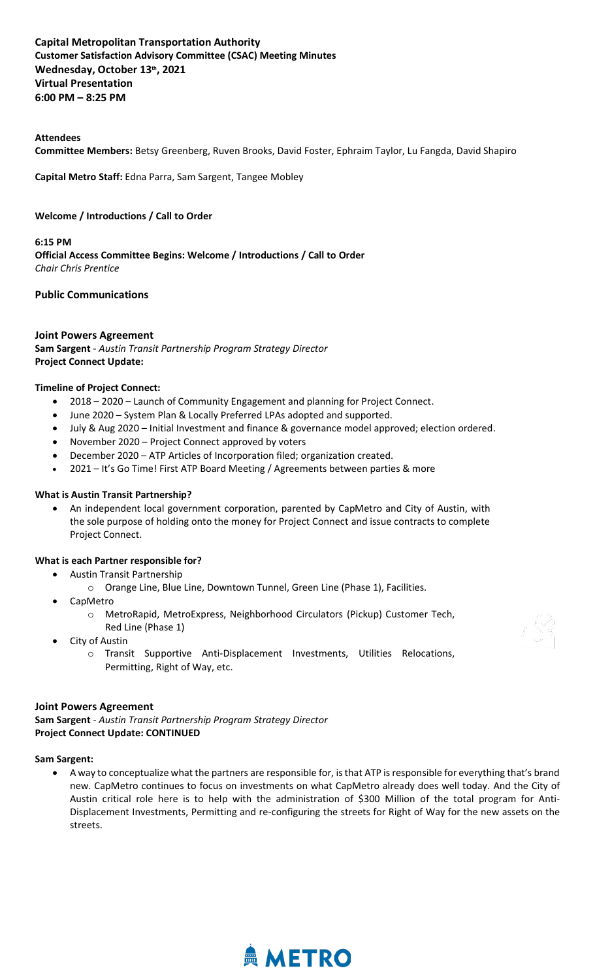## **Capital Metropolitan Transportation Authority  Customer Satisfaction Advisory Committee (CSAC) Meeting Minutes Wednesday, October 13th , 2021  Virtual Presentation 6:00 PM – 8:25 PM**

#### **Attendees**

**Committee Members:** Betsy Greenberg, Ruven Brooks, David Foster, Ephraim Taylor, Lu Fangda, David Shapiro

**Capital Metro Staff:** Edna Parra, Sam Sargent, Tangee Mobley

#### **Welcome / Introductions / Call to Order**

**6:15 PM Official Access Committee Begins: Welcome / Introductions / Call to Order** *Chair Chris Prentice*

#### **Public Communications**

#### **Joint Powers Agreement**

**Sam Sargent** - *Austin Transit Partnership Program Strategy Director* **Project Connect Update:**

#### **Timeline of Project Connect:**

- 2018 2020 Launch of Community Engagement and planning for Project Connect.
- June 2020 System Plan & Locally Preferred LPAs adopted and supported.
- July & Aug 2020 Initial Investment and finance & governance model approved; election ordered.
- November 2020 Project Connect approved by voters
- December 2020 ATP Articles of Incorporation filed; organization created.
- 2021 It's Go Time! First ATP Board Meeting / Agreements between parties & more

#### **What is Austin Transit Partnership?**

• An independent local government corporation, parented by CapMetro and City of Austin, with the sole purpose of holding onto the money for Project Connect and issue contracts to complete Project Connect.

#### **What is each Partner responsible for?**

- Austin Transit Partnership
	- o Orange Line, Blue Line, Downtown Tunnel, Green Line (Phase 1), Facilities.
- CapMetro
	- o MetroRapid, MetroExpress, Neighborhood Circulators (Pickup) Customer Tech, Red Line (Phase 1)
- City of Austin
	- o Transit Supportive Anti-Displacement Investments, Utilities Relocations, Permitting, Right of Way, etc.

#### **Joint Powers Agreement**

**Sam Sargent** - *Austin Transit Partnership Program Strategy Director* **Project Connect Update: CONTINUED**

#### **Sam Sargent:**

• A way to conceptualize what the partners are responsible for, is that ATP is responsible for everything that's brand new. CapMetro continues to focus on investments on what CapMetro already does well today. And the City of Austin critical role here is to help with the administration of \$300 Million of the total program for Anti-Displacement Investments, Permitting and re-configuring the streets for Right of Way for the new assets on the streets.

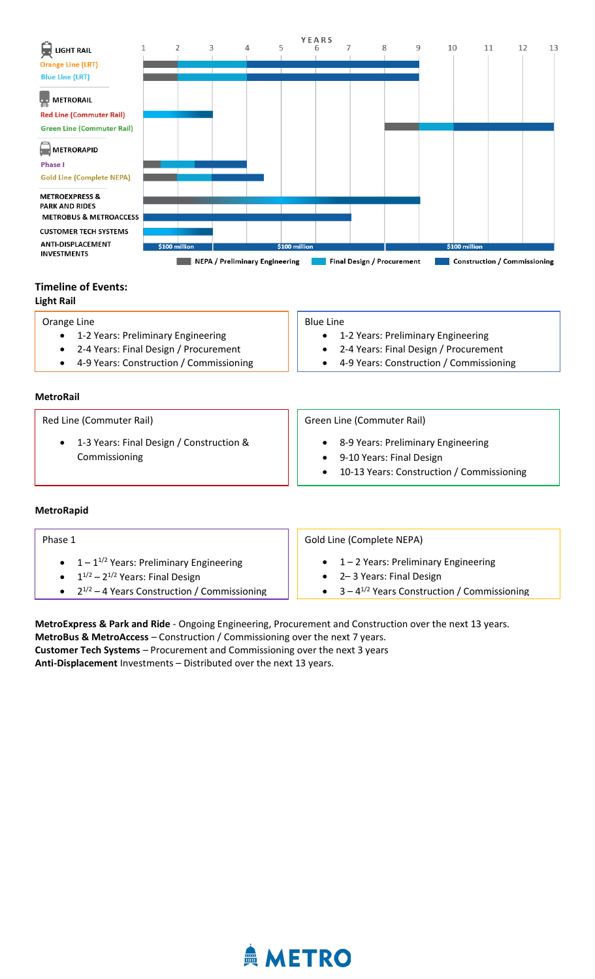

# **Timeline of Events:**

**Light Rail**

| Orange Line                             | <b>Blue Line</b>                          |
|-----------------------------------------|-------------------------------------------|
| 1-2 Years: Preliminary Engineering      | 1-2 Years: Preliminary Engineering        |
| • 2-4 Years: Final Design / Procurement | • 2-4 Years: Final Design / Procurement   |
| 4-9 Years: Construction / Commissioning | • 4-9 Years: Construction / Commissioning |
|                                         |                                           |

| <b>MetroRail</b> |
|------------------|
|------------------|

| Red Line (Commuter Rail)                                  | Green Line (Commuter Rail)                                                                                    |
|-----------------------------------------------------------|---------------------------------------------------------------------------------------------------------------|
| 1-3 Years: Final Design / Construction &<br>Commissioning | • 8-9 Years: Preliminary Engineering<br>9-10 Years: Final Design<br>10-13 Years: Construction / Commissioning |

## **MetroRapid**

| Phase 1                                            | Gold Line (Complete NEPA)                          |
|----------------------------------------------------|----------------------------------------------------|
| • $1 - 1^{1/2}$ Years: Preliminary Engineering     | $\bullet$ 1 – 2 Years: Preliminary Engineering     |
| • $1^{1/2}$ – $2^{1/2}$ Years: Final Design        | • 2-3 Years: Final Design                          |
| • $2^{1/2} - 4$ Years Construction / Commissioning | • $3 - 4^{1/2}$ Years Construction / Commissioning |

**MetroExpress & Park and Ride** - Ongoing Engineering, Procurement and Construction over the next 13 years. **MetroBus & MetroAccess** – Construction / Commissioning over the next 7 years. **Customer Tech Systems** – Procurement and Commissioning over the next 3 years **Anti-Displacement** Investments – Distributed over the next 13 years.

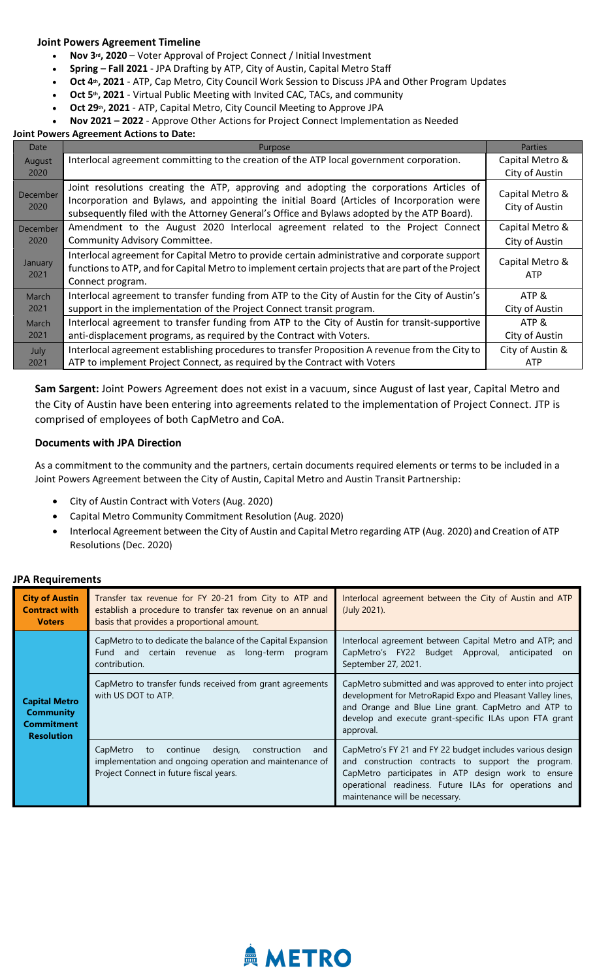#### **Joint Powers Agreement Timeline**

- **Nov 3rd, 2020** Voter Approval of Project Connect / Initial Investment
- **Spring – Fall 2021** JPA Drafting by ATP, City of Austin, Capital Metro Staff
- **Oct 4th, 2021** ATP, Cap Metro, City Council Work Session to Discuss JPA and Other Program Updates
- **Oct 5th, 2021** Virtual Public Meeting with Invited CAC, TACs, and community
- **Oct 29th, 2021** ATP, Capital Metro, City Council Meeting to Approve JPA
- **Nov 2021 – 2022** Approve Other Actions for Project Connect Implementation as Needed

#### **Joint Powers Agreement Actions to Date:**

| Date             | Purpose                                                                                                                                                                                                                                                                              | <b>Parties</b>                    |
|------------------|--------------------------------------------------------------------------------------------------------------------------------------------------------------------------------------------------------------------------------------------------------------------------------------|-----------------------------------|
| August<br>2020   | Interlocal agreement committing to the creation of the ATP local government corporation.                                                                                                                                                                                             | Capital Metro &<br>City of Austin |
| December<br>2020 | Joint resolutions creating the ATP, approving and adopting the corporations Articles of<br>Incorporation and Bylaws, and appointing the initial Board (Articles of Incorporation were<br>subsequently filed with the Attorney General's Office and Bylaws adopted by the ATP Board). | Capital Metro &<br>City of Austin |
| December<br>2020 | Amendment to the August 2020 Interlocal agreement related to the Project Connect<br>Community Advisory Committee.                                                                                                                                                                    | Capital Metro &<br>City of Austin |
| January<br>2021  | Interlocal agreement for Capital Metro to provide certain administrative and corporate support<br>functions to ATP, and for Capital Metro to implement certain projects that are part of the Project<br>Connect program.                                                             | Capital Metro &<br><b>ATP</b>     |
| March            | Interlocal agreement to transfer funding from ATP to the City of Austin for the City of Austin's                                                                                                                                                                                     | ATP &                             |
| 2021             | support in the implementation of the Project Connect transit program.                                                                                                                                                                                                                | City of Austin                    |
| March            | Interlocal agreement to transfer funding from ATP to the City of Austin for transit-supportive                                                                                                                                                                                       | ATP &                             |
| 2021             | anti-displacement programs, as required by the Contract with Voters.                                                                                                                                                                                                                 | City of Austin                    |
| July             | Interlocal agreement establishing procedures to transfer Proposition A revenue from the City to                                                                                                                                                                                      | City of Austin &                  |
| 2021             | ATP to implement Project Connect, as required by the Contract with Voters                                                                                                                                                                                                            | ATP                               |

**Sam Sargent:** Joint Powers Agreement does not exist in a vacuum, since August of last year, Capital Metro and the City of Austin have been entering into agreements related to the implementation of Project Connect. JTP is comprised of employees of both CapMetro and CoA.

#### **Documents with JPA Direction**

As a commitment to the community and the partners, certain documents required elements or terms to be included in a Joint Powers Agreement between the City of Austin, Capital Metro and Austin Transit Partnership:

- City of Austin Contract with Voters (Aug. 2020)
- Capital Metro Community Commitment Resolution (Aug. 2020)
- Interlocal Agreement between the City of Austin and Capital Metro regarding ATP (Aug. 2020) and Creation of ATP Resolutions (Dec. 2020)

#### **JPA Requirements**

| <b>City of Austin</b><br><b>Contract with</b><br><b>Voters</b>                     | Transfer tax revenue for FY 20-21 from City to ATP and<br>establish a procedure to transfer tax revenue on an annual<br>basis that provides a proportional amount. | Interlocal agreement between the City of Austin and ATP<br>(July 2021).                                                                                                                                                                                          |
|------------------------------------------------------------------------------------|--------------------------------------------------------------------------------------------------------------------------------------------------------------------|------------------------------------------------------------------------------------------------------------------------------------------------------------------------------------------------------------------------------------------------------------------|
| <b>Capital Metro</b><br><b>Community</b><br><b>Commitment</b><br><b>Resolution</b> | CapMetro to to dedicate the balance of the Capital Expansion<br>Fund and certain revenue as long-term program<br>contribution.                                     | Interlocal agreement between Capital Metro and ATP; and<br>CapMetro's FY22 Budget Approval, anticipated<br>on.<br>September 27, 2021.                                                                                                                            |
|                                                                                    | CapMetro to transfer funds received from grant agreements<br>with US DOT to ATP.                                                                                   | CapMetro submitted and was approved to enter into project<br>development for MetroRapid Expo and Pleasant Valley lines,<br>and Orange and Blue Line grant. CapMetro and ATP to<br>develop and execute grant-specific ILAs upon FTA grant<br>approval.            |
|                                                                                    | continue<br>design,<br>CapMetro<br>construction<br>to<br>and<br>implementation and ongoing operation and maintenance of<br>Project Connect in future fiscal years. | CapMetro's FY 21 and FY 22 budget includes various design<br>and construction contracts to support the program.<br>CapMetro participates in ATP design work to ensure<br>operational readiness. Future ILAs for operations and<br>maintenance will be necessary. |

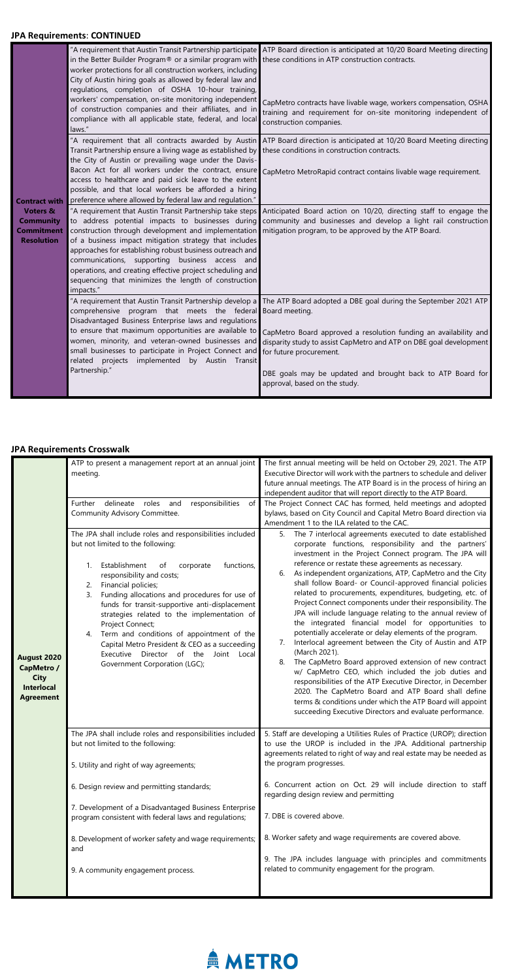## **JPA Requirements**: **CONTINUED**

|                                                                                                           | in the Better Builder Program <sup>®</sup> or a similar program with these conditions in ATP construction contracts.<br>worker protections for all construction workers, including<br>City of Austin hiring goals as allowed by federal law and<br>regulations, completion of OSHA 10-hour training,<br>workers' compensation, on-site monitoring independent<br>of construction companies and their affiliates, and in<br>compliance with all applicable state, federal, and local<br>laws."<br>"A requirement that all contracts awarded by Austin<br>Transit Partnership ensure a living wage as established by<br>the City of Austin or prevailing wage under the Davis-<br>Bacon Act for all workers under the contract, ensure<br>access to healthcare and paid sick leave to the extent<br>possible, and that local workers be afforded a hiring | "A requirement that Austin Transit Partnership participate ATP Board direction is anticipated at 10/20 Board Meeting directing<br>CapMetro contracts have livable wage, workers compensation, OSHA<br>training and requirement for on-site monitoring independent of<br>construction companies.<br>ATP Board direction is anticipated at 10/20 Board Meeting directing<br>these conditions in construction contracts.<br>CapMetro MetroRapid contract contains livable wage requirement. |
|-----------------------------------------------------------------------------------------------------------|---------------------------------------------------------------------------------------------------------------------------------------------------------------------------------------------------------------------------------------------------------------------------------------------------------------------------------------------------------------------------------------------------------------------------------------------------------------------------------------------------------------------------------------------------------------------------------------------------------------------------------------------------------------------------------------------------------------------------------------------------------------------------------------------------------------------------------------------------------|------------------------------------------------------------------------------------------------------------------------------------------------------------------------------------------------------------------------------------------------------------------------------------------------------------------------------------------------------------------------------------------------------------------------------------------------------------------------------------------|
| <b>Contract with</b><br><b>Voters &amp;</b><br><b>Community</b><br><b>Commitment</b><br><b>Resolution</b> | preference where allowed by federal law and regulation."<br>"A requirement that Austin Transit Partnership take steps<br>to address potential impacts to businesses during<br>construction through development and implementation<br>of a business impact mitigation strategy that includes<br>approaches for establishing robust business outreach and<br>communications, supporting<br>business access and<br>operations, and creating effective project scheduling and<br>sequencing that minimizes the length of construction<br>impacts."                                                                                                                                                                                                                                                                                                          | Anticipated Board action on 10/20, directing staff to engage the<br>community and businesses and develop a light rail construction<br>mitigation program, to be approved by the ATP Board.                                                                                                                                                                                                                                                                                               |
|                                                                                                           | "A requirement that Austin Transit Partnership develop a<br>comprehensive program that meets the federal Board meeting.<br>Disadvantaged Business Enterprise laws and regulations<br>to ensure that maximum opportunities are available to<br>women, minority, and veteran-owned businesses and<br>small businesses to participate in Project Connect and<br>projects implemented<br>by Austin Transit<br>related<br>Partnership."                                                                                                                                                                                                                                                                                                                                                                                                                      | The ATP Board adopted a DBE goal during the September 2021 ATP<br>CapMetro Board approved a resolution funding an availability and<br>disparity study to assist CapMetro and ATP on DBE goal development<br>for future procurement.<br>DBE goals may be updated and brought back to ATP Board for<br>approval, based on the study.                                                                                                                                                       |

# **JPA Requirements Crosswalk**

|                                                                                          | ATP to present a management report at an annual joint<br>meeting.<br>responsibilities<br><b>Further</b><br>delineate<br>roles<br>of<br>and                                                                                                                                                                                                                                                                                                                                                                                                                                 | The first annual meeting will be held on October 29, 2021. The ATP<br>Executive Director will work with the partners to schedule and deliver<br>future annual meetings. The ATP Board is in the process of hiring an<br>independent auditor that will report directly to the ATP Board.<br>The Project Connect CAC has formed, held meetings and adopted                                                                                                                                                                                                                                                                                                                                                                                                                                                                                                                                                                                                                                                                                                                                                                                    |
|------------------------------------------------------------------------------------------|----------------------------------------------------------------------------------------------------------------------------------------------------------------------------------------------------------------------------------------------------------------------------------------------------------------------------------------------------------------------------------------------------------------------------------------------------------------------------------------------------------------------------------------------------------------------------|---------------------------------------------------------------------------------------------------------------------------------------------------------------------------------------------------------------------------------------------------------------------------------------------------------------------------------------------------------------------------------------------------------------------------------------------------------------------------------------------------------------------------------------------------------------------------------------------------------------------------------------------------------------------------------------------------------------------------------------------------------------------------------------------------------------------------------------------------------------------------------------------------------------------------------------------------------------------------------------------------------------------------------------------------------------------------------------------------------------------------------------------|
|                                                                                          | Community Advisory Committee.                                                                                                                                                                                                                                                                                                                                                                                                                                                                                                                                              | bylaws, based on City Council and Capital Metro Board direction via<br>Amendment 1 to the ILA related to the CAC.                                                                                                                                                                                                                                                                                                                                                                                                                                                                                                                                                                                                                                                                                                                                                                                                                                                                                                                                                                                                                           |
| <b>August 2020</b><br>CapMetro /<br><b>City</b><br><b>Interlocal</b><br><b>Agreement</b> | The JPA shall include roles and responsibilities included<br>but not limited to the following:<br>Establishment<br>functions,<br>corporate<br>οf<br>responsibility and costs;<br>Financial policies;<br>2.<br>Funding allocations and procedures for use of<br>3.<br>funds for transit-supportive anti-displacement<br>strategies related to the implementation of<br>Project Connect;<br>Term and conditions of appointment of the<br>4.<br>Capital Metro President & CEO as a succeeding<br>Executive Director of the<br>Joint<br>Local<br>Government Corporation (LGC); | The 7 interlocal agreements executed to date established<br>5.<br>corporate functions, responsibility and the partners'<br>investment in the Project Connect program. The JPA will<br>reference or restate these agreements as necessary.<br>As independent organizations, ATP, CapMetro and the City<br>6.<br>shall follow Board- or Council-approved financial policies<br>related to procurements, expenditures, budgeting, etc. of<br>Project Connect components under their responsibility. The<br>JPA will include language relating to the annual review of<br>the integrated financial model for opportunities to<br>potentially accelerate or delay elements of the program.<br>Interlocal agreement between the City of Austin and ATP<br>7.<br>(March 2021).<br>The CapMetro Board approved extension of new contract<br>8.<br>w/ CapMetro CEO, which included the job duties and<br>responsibilities of the ATP Executive Director, in December<br>2020. The CapMetro Board and ATP Board shall define<br>terms & conditions under which the ATP Board will appoint<br>succeeding Executive Directors and evaluate performance. |
|                                                                                          | The JPA shall include roles and responsibilities included                                                                                                                                                                                                                                                                                                                                                                                                                                                                                                                  | 5. Staff are developing a Utilities Rules of Practice (UROP); direction                                                                                                                                                                                                                                                                                                                                                                                                                                                                                                                                                                                                                                                                                                                                                                                                                                                                                                                                                                                                                                                                     |

| but not limited to the following:<br>5. Utility and right of way agreements;                                   | to use the UROP is included in the JPA. Additional partnership<br>agreements related to right of way and real estate may be needed as<br>the program progresses. |
|----------------------------------------------------------------------------------------------------------------|------------------------------------------------------------------------------------------------------------------------------------------------------------------|
| 6. Design review and permitting standards;                                                                     | 6. Concurrent action on Oct. 29 will include direction to staff<br>regarding design review and permitting                                                        |
| 7. Development of a Disadvantaged Business Enterprise<br>program consistent with federal laws and regulations; | 7. DBE is covered above.                                                                                                                                         |
| 8. Development of worker safety and wage requirements;<br>and                                                  | 8. Worker safety and wage requirements are covered above.                                                                                                        |
| 9. A community engagement process.                                                                             | 9. The JPA includes language with principles and commitments<br>related to community engagement for the program.                                                 |
|                                                                                                                |                                                                                                                                                                  |

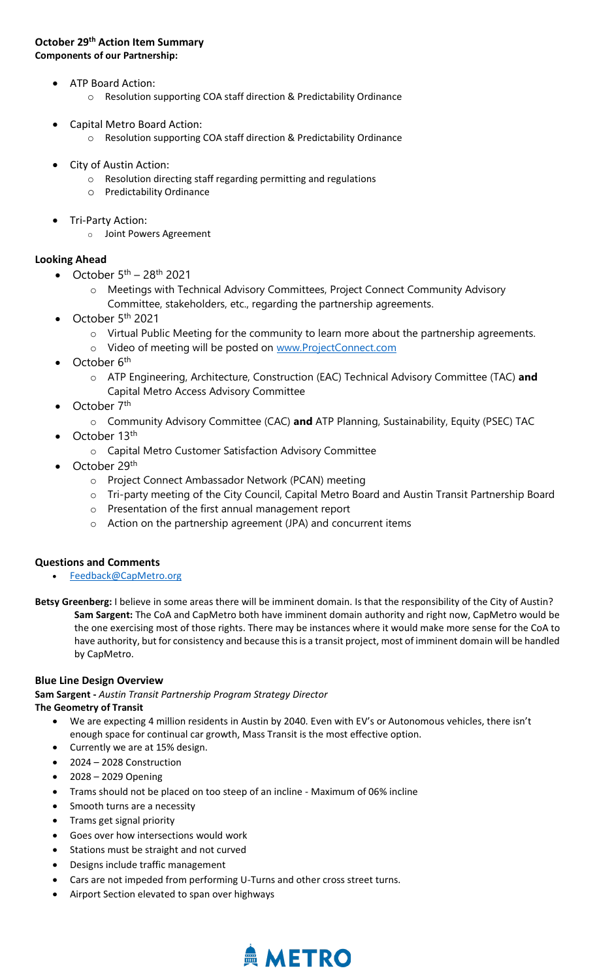## **October 29th Action Item Summary Components of our Partnership:**

- ATP Board Action:
	- o Resolution supporting COA staff direction & Predictability Ordinance
- Capital Metro Board Action:
	- o Resolution supporting COA staff direction & Predictability Ordinance
- City of Austin Action:
	- o Resolution directing staff regarding permitting and regulations
	- o Predictability Ordinance
- Tri-Party Action:
	- o Joint Powers Agreement

# **Looking Ahead**

- October  $5<sup>th</sup> 28<sup>th</sup>$  2021
	- o Meetings with Technical Advisory Committees, Project Connect Community Advisory Committee, stakeholders, etc., regarding the partnership agreements.
- October  $5<sup>th</sup>$  2021
	- o Virtual Public Meeting for the community to learn more about the partnership agreements.
	- o Video of meeting will be posted on [www.ProjectConnect.com](http://www.projectconnect.com/)
- October 6<sup>th</sup>
	- o ATP Engineering, Architecture, Construction (EAC) Technical Advisory Committee (TAC) **and**  Capital Metro Access Advisory Committee
- October 7<sup>th</sup>
	- o Community Advisory Committee (CAC) **and** ATP Planning, Sustainability, Equity (PSEC) TAC
- October 13<sup>th</sup>
	- o Capital Metro Customer Satisfaction Advisory Committee
- October 29<sup>th</sup>
	- o Project Connect Ambassador Network (PCAN) meeting
	- o Tri-party meeting of the City Council, Capital Metro Board and Austin Transit Partnership Board
	- o Presentation of the first annual management report
	- o Action on the partnership agreement (JPA) and concurrent items

# **Questions and Comments**

- [Feedback@CapMetro.org](mailto:Feedback@CapMetro.org)
- **Betsy Greenberg:** I believe in some areas there will be imminent domain. Is that the responsibility of the City of Austin? **Sam Sargent:** The CoA and CapMetro both have imminent domain authority and right now, CapMetro would be the one exercising most of those rights. There may be instances where it would make more sense for the CoA to have authority, but for consistency and because this is a transit project, most of imminent domain will be handled by CapMetro.

## **Blue Line Design Overview**

**Sam Sargent -** *Austin Transit Partnership Program Strategy Director* **The Geometry of Transit**

- We are expecting 4 million residents in Austin by 2040. Even with EV's or Autonomous vehicles, there isn't enough space for continual car growth, Mass Transit is the most effective option.
- Currently we are at 15% design.
- 2024 2028 Construction
- 2028 2029 Opening
- Trams should not be placed on too steep of an incline Maximum of 06% incline
- Smooth turns are a necessity
- Trams get signal priority
- Goes over how intersections would work
- Stations must be straight and not curved
- Designs include traffic management
- Cars are not impeded from performing U-Turns and other cross street turns.
- Airport Section elevated to span over highways

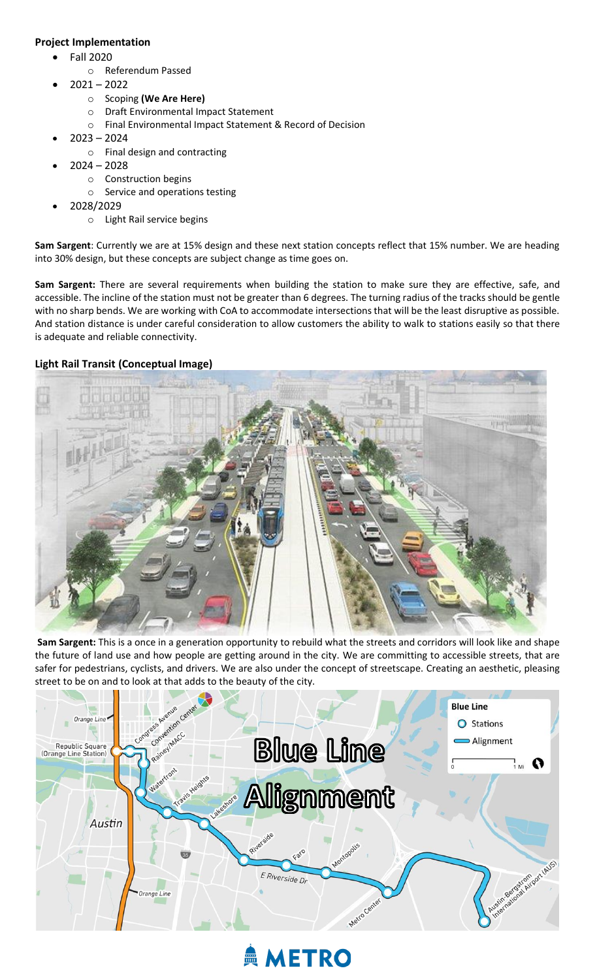# **Project Implementation**

- Fall 2020
	- o Referendum Passed
- 2021 2022
	- o Scoping **(We Are Here)**
	- o Draft Environmental Impact Statement
	- o Final Environmental Impact Statement & Record of Decision
- $2023 2024$ 
	- o Final design and contracting
- $2024 2028$ 
	- o Construction begins
	- o Service and operations testing
- 2028/2029
	- o Light Rail service begins

**Sam Sargent**: Currently we are at 15% design and these next station concepts reflect that 15% number. We are heading into 30% design, but these concepts are subject change as time goes on.

**Sam Sargent:** There are several requirements when building the station to make sure they are effective, safe, and accessible. The incline of the station must not be greater than 6 degrees. The turning radius of the tracks should be gentle with no sharp bends. We are working with CoA to accommodate intersections that will be the least disruptive as possible. And station distance is under careful consideration to allow customers the ability to walk to stations easily so that there is adequate and reliable connectivity.

# **Light Rail Transit (Conceptual Image)**



**Sam Sargent:** This is a once in a generation opportunity to rebuild what the streets and corridors will look like and shape the future of land use and how people are getting around in the city. We are committing to accessible streets, that are safer for pedestrians, cyclists, and drivers. We are also under the concept of streetscape. Creating an aesthetic, pleasing street to be on and to look at that adds to the beauty of the city.



# **AMETRO**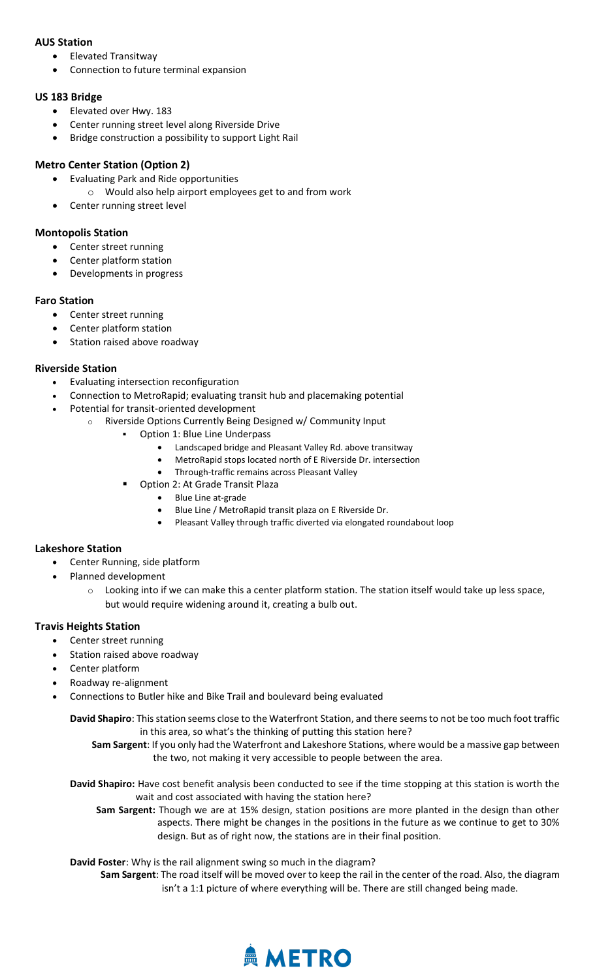## **AUS Station**

- Elevated Transitway
- Connection to future terminal expansion

# **US 183 Bridge**

- Elevated over Hwy. 183
- Center running street level along Riverside Drive
- Bridge construction a possibility to support Light Rail

# **Metro Center Station (Option 2)**

- Evaluating Park and Ride opportunities
	- o Would also help airport employees get to and from work
- Center running street level

# **Montopolis Station**

- Center street running
- Center platform station
- Developments in progress

# **Faro Station**

- Center street running
- Center platform station
- Station raised above roadway

# **Riverside Station**

- Evaluating intersection reconfiguration
- Connection to MetroRapid; evaluating transit hub and placemaking potential
- Potential for transit-oriented development
	- o Riverside Options Currently Being Designed w/ Community Input
		- Option 1: Blue Line Underpass
			- Landscaped bridge and Pleasant Valley Rd. above transitway
			- MetroRapid stops located north of E Riverside Dr. intersection
			- Through-traffic remains across Pleasant Valley
			- Option 2: At Grade Transit Plaza
				- Blue Line at-grade
				- Blue Line / MetroRapid transit plaza on E Riverside Dr.
				- Pleasant Valley through traffic diverted via elongated roundabout loop

# **Lakeshore Station**

- Center Running, side platform
- Planned development
	- $\circ$  Looking into if we can make this a center platform station. The station itself would take up less space, but would require widening around it, creating a bulb out.

# **Travis Heights Station**

- Center street running
- Station raised above roadway
- Center platform
- Roadway re-alignment
- Connections to Butler hike and Bike Trail and boulevard being evaluated

**David Shapiro**: This station seems close to the Waterfront Station, and there seems to not be too much foot traffic in this area, so what's the thinking of putting this station here?

**Sam Sargent**: If you only had the Waterfront and Lakeshore Stations, where would be a massive gap between the two, not making it very accessible to people between the area.

**David Shapiro:** Have cost benefit analysis been conducted to see if the time stopping at this station is worth the wait and cost associated with having the station here?

**Sam Sargent:** Though we are at 15% design, station positions are more planted in the design than other aspects. There might be changes in the positions in the future as we continue to get to 30% design. But as of right now, the stations are in their final position.

**David Foster**: Why is the rail alignment swing so much in the diagram?

**Sam Sargent**: The road itself will be moved over to keep the rail in the center of the road. Also, the diagram isn't a 1:1 picture of where everything will be. There are still changed being made.

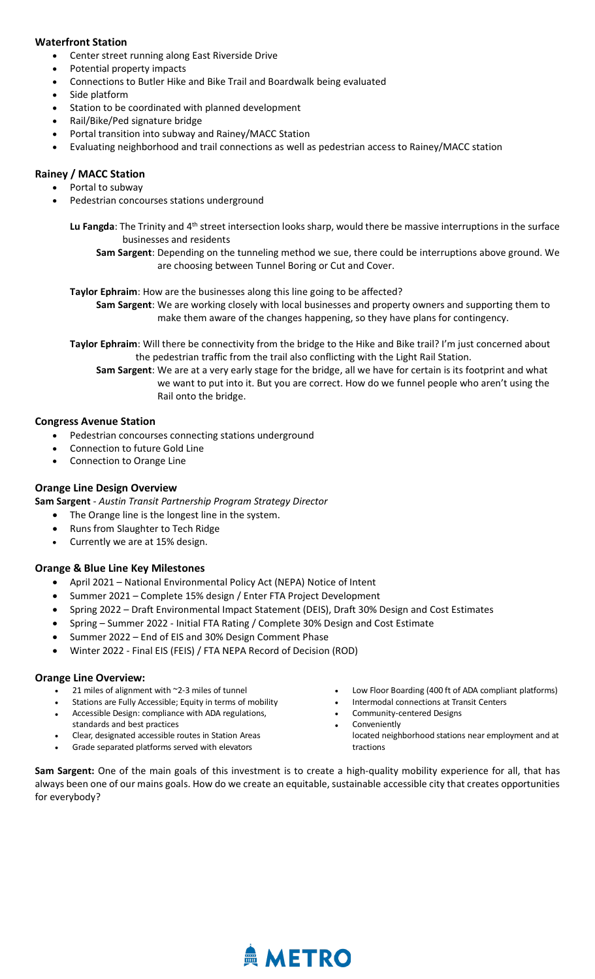## **Waterfront Station**

- Center street running along East Riverside Drive
- Potential property impacts
- Connections to Butler Hike and Bike Trail and Boardwalk being evaluated
- Side platform
- Station to be coordinated with planned development
- Rail/Bike/Ped signature bridge
- Portal transition into subway and Rainey/MACC Station
- Evaluating neighborhood and trail connections as well as pedestrian access to Rainey/MACC station

## **Rainey / MACC Station**

- Portal to subway
- Pedestrian concourses stations underground

Lu Fangda: The Trinity and 4<sup>th</sup> street intersection looks sharp, would there be massive interruptions in the surface businesses and residents

**Sam Sargent**: Depending on the tunneling method we sue, there could be interruptions above ground. We are choosing between Tunnel Boring or Cut and Cover.

**Taylor Ephraim**: How are the businesses along this line going to be affected?

**Sam Sargent**: We are working closely with local businesses and property owners and supporting them to make them aware of the changes happening, so they have plans for contingency.

**Taylor Ephraim**: Will there be connectivity from the bridge to the Hike and Bike trail? I'm just concerned about the pedestrian traffic from the trail also conflicting with the Light Rail Station.

**Sam Sargent**: We are at a very early stage for the bridge, all we have for certain is its footprint and what we want to put into it. But you are correct. How do we funnel people who aren't using the Rail onto the bridge.

## **Congress Avenue Station**

- Pedestrian concourses connecting stations underground
- Connection to future Gold Line
- Connection to Orange Line

## **Orange Line Design Overview**

**Sam Sargent** - *Austin Transit Partnership Program Strategy Director*

- The Orange line is the longest line in the system.
- Runs from Slaughter to Tech Ridge
- Currently we are at 15% design.

## **Orange & Blue Line Key Milestones**

- April 2021 National Environmental Policy Act (NEPA) Notice of Intent
- Summer 2021 Complete 15% design / Enter FTA Project Development
- Spring 2022 Draft Environmental Impact Statement (DEIS), Draft 30% Design and Cost Estimates
- Spring Summer 2022 Initial FTA Rating / Complete 30% Design and Cost Estimate
- Summer 2022 End of EIS and 30% Design Comment Phase
- Winter 2022 Final EIS (FEIS) / FTA NEPA Record of Decision (ROD)

#### **Orange Line Overview:**

- 21 miles of alignment with  $\sim$ 2-3 miles of tunnel
- Stations are Fully Accessible; Equity in terms of mobility
- Accessible Design: compliance with ADA regulations, standards and best practices
- Clear, designated accessible routes in Station Areas
- Grade separated platforms served with elevators
- Low Floor Boarding (400 ft of ADA compliant platforms)
- Intermodal connections at Transit Centers
	- Community-centered Designs **Conveniently**
	- located neighborhood stations near employment and at tractions

**Sam Sargent:** One of the main goals of this investment is to create a high-quality mobility experience for all, that has always been one of our mains goals. How do we create an equitable, sustainable accessible city that creates opportunities for everybody?

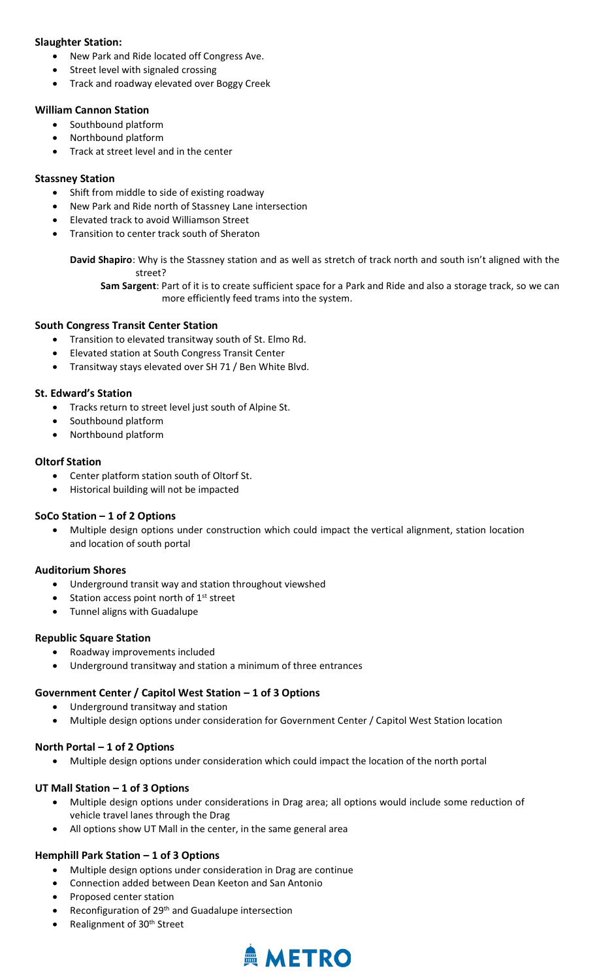## **Slaughter Station:**

- New Park and Ride located off Congress Ave.
- Street level with signaled crossing
- Track and roadway elevated over Boggy Creek

# **William Cannon Station**

- Southbound platform
- Northbound platform
- Track at street level and in the center

# **Stassney Station**

- Shift from middle to side of existing roadway
- New Park and Ride north of Stassney Lane intersection
- Elevated track to avoid Williamson Street
- Transition to center track south of Sheraton

**David Shapiro**: Why is the Stassney station and as well as stretch of track north and south isn't aligned with the street?

**Sam Sargent**: Part of it is to create sufficient space for a Park and Ride and also a storage track, so we can more efficiently feed trams into the system.

## **South Congress Transit Center Station**

- Transition to elevated transitway south of St. Elmo Rd.
- Elevated station at South Congress Transit Center
- Transitway stays elevated over SH 71 / Ben White Blvd.

# **St. Edward's Station**

- Tracks return to street level just south of Alpine St.
- Southbound platform
- Northbound platform

# **Oltorf Station**

- Center platform station south of Oltorf St.
- Historical building will not be impacted

# **SoCo Station – 1 of 2 Options**

• Multiple design options under construction which could impact the vertical alignment, station location and location of south portal

# **Auditorium Shores**

- Underground transit way and station throughout viewshed
- Station access point north of 1<sup>st</sup> street
- Tunnel aligns with Guadalupe

# **Republic Square Station**

- Roadway improvements included
- Underground transitway and station a minimum of three entrances

# **Government Center / Capitol West Station – 1 of 3 Options**

- Underground transitway and station
- Multiple design options under consideration for Government Center / Capitol West Station location

# **North Portal – 1 of 2 Options**

• Multiple design options under consideration which could impact the location of the north portal

# **UT Mall Station – 1 of 3 Options**

- Multiple design options under considerations in Drag area; all options would include some reduction of vehicle travel lanes through the Drag
- All options show UT Mall in the center, in the same general area

## **Hemphill Park Station – 1 of 3 Options**

- Multiple design options under consideration in Drag are continue
- Connection added between Dean Keeton and San Antonio
- Proposed center station
- Reconfiguration of 29<sup>th</sup> and Guadalupe intersection
- Realignment of 30th Street

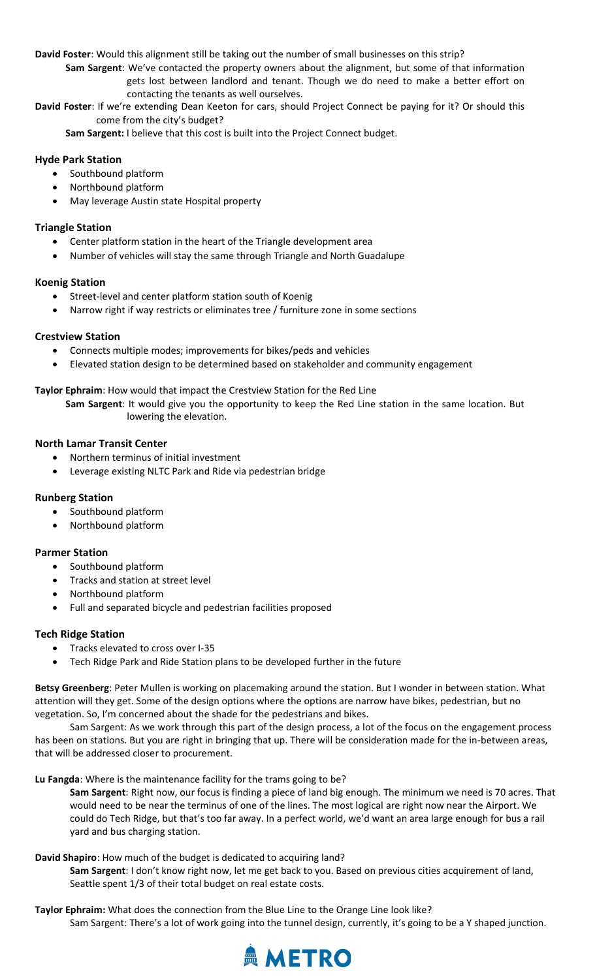**David Foster**: Would this alignment still be taking out the number of small businesses on this strip?

**Sam Sargent**: We've contacted the property owners about the alignment, but some of that information gets lost between landlord and tenant. Though we do need to make a better effort on contacting the tenants as well ourselves.

**David Foster**: If we're extending Dean Keeton for cars, should Project Connect be paying for it? Or should this come from the city's budget?

**Sam Sargent:** I believe that this cost is built into the Project Connect budget.

## **Hyde Park Station**

- Southbound platform
- Northbound platform
- May leverage Austin state Hospital property

## **Triangle Station**

- Center platform station in the heart of the Triangle development area
- Number of vehicles will stay the same through Triangle and North Guadalupe

## **Koenig Station**

- Street-level and center platform station south of Koenig
- Narrow right if way restricts or eliminates tree / furniture zone in some sections

## **Crestview Station**

- Connects multiple modes; improvements for bikes/peds and vehicles
- Elevated station design to be determined based on stakeholder and community engagement

## **Taylor Ephraim**: How would that impact the Crestview Station for the Red Line

**Sam Sargent**: It would give you the opportunity to keep the Red Line station in the same location. But lowering the elevation.

## **North Lamar Transit Center**

- Northern terminus of initial investment
- Leverage existing NLTC Park and Ride via pedestrian bridge

## **Runberg Station**

- Southbound platform
- Northbound platform

#### **Parmer Station**

- Southbound platform
- Tracks and station at street level
- Northbound platform
- Full and separated bicycle and pedestrian facilities proposed

#### **Tech Ridge Station**

- Tracks elevated to cross over I-35
- Tech Ridge Park and Ride Station plans to be developed further in the future

**Betsy Greenberg**: Peter Mullen is working on placemaking around the station. But I wonder in between station. What attention will they get. Some of the design options where the options are narrow have bikes, pedestrian, but no vegetation. So, I'm concerned about the shade for the pedestrians and bikes.

Sam Sargent: As we work through this part of the design process, a lot of the focus on the engagement process has been on stations. But you are right in bringing that up. There will be consideration made for the in-between areas, that will be addressed closer to procurement.

**Lu Fangda**: Where is the maintenance facility for the trams going to be?

**Sam Sargent**: Right now, our focus is finding a piece of land big enough. The minimum we need is 70 acres. That would need to be near the terminus of one of the lines. The most logical are right now near the Airport. We could do Tech Ridge, but that's too far away. In a perfect world, we'd want an area large enough for bus a rail yard and bus charging station.

#### **David Shapiro**: How much of the budget is dedicated to acquiring land?

**Sam Sargent**: I don't know right now, let me get back to you. Based on previous cities acquirement of land, Seattle spent 1/3 of their total budget on real estate costs.

#### **Taylor Ephraim:** What does the connection from the Blue Line to the Orange Line look like?

Sam Sargent: There's a lot of work going into the tunnel design, currently, it's going to be a Y shaped junction.